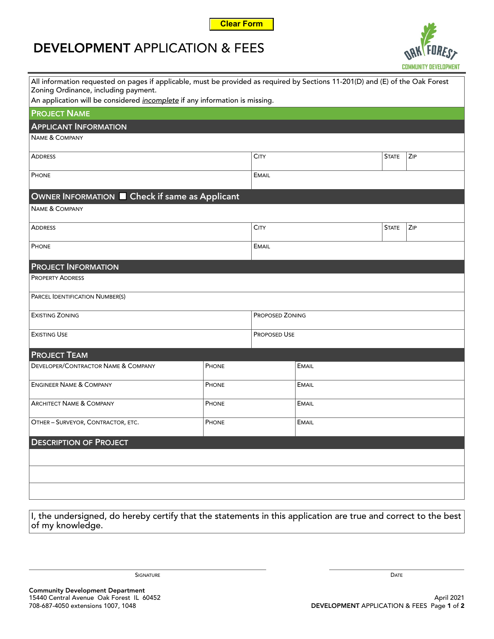

## **DEVELOPMENT** APPLICATION & FEES



| All information requested on pages if applicable, must be provided as required by Sections 11-201(D) and (E) of the Oak Forest<br>Zoning Ordinance, including payment. |       |                        |              |              |     |  |
|------------------------------------------------------------------------------------------------------------------------------------------------------------------------|-------|------------------------|--------------|--------------|-----|--|
| An application will be considered <i>incomplete</i> if any information is missing.                                                                                     |       |                        |              |              |     |  |
| <b>PROJECT NAME</b>                                                                                                                                                    |       |                        |              |              |     |  |
| <b>APPLICANT INFORMATION</b>                                                                                                                                           |       |                        |              |              |     |  |
| <b>NAME &amp; COMPANY</b>                                                                                                                                              |       |                        |              |              |     |  |
| <b>ADDRESS</b>                                                                                                                                                         |       | <b>CITY</b>            |              | <b>STATE</b> | ZIP |  |
| PHONE                                                                                                                                                                  |       | <b>EMAIL</b>           |              |              |     |  |
| OWNER INFORMATION E Check if same as Applicant                                                                                                                         |       |                        |              |              |     |  |
| <b>NAME &amp; COMPANY</b>                                                                                                                                              |       |                        |              |              |     |  |
| <b>ADDRESS</b>                                                                                                                                                         |       | <b>CITY</b>            |              | <b>STATE</b> | ZIP |  |
| PHONE                                                                                                                                                                  |       | <b>EMAIL</b>           |              |              |     |  |
| <b>PROJECT INFORMATION</b>                                                                                                                                             |       |                        |              |              |     |  |
| <b>PROPERTY ADDRESS</b>                                                                                                                                                |       |                        |              |              |     |  |
| PARCEL IDENTIFICATION NUMBER(S)                                                                                                                                        |       |                        |              |              |     |  |
| <b>EXISTING ZONING</b>                                                                                                                                                 |       | <b>PROPOSED ZONING</b> |              |              |     |  |
| <b>EXISTING USE</b>                                                                                                                                                    |       | <b>PROPOSED USE</b>    |              |              |     |  |
| <b>PROJECT TEAM</b>                                                                                                                                                    |       |                        |              |              |     |  |
| DEVELOPER/CONTRACTOR NAME & COMPANY                                                                                                                                    | PHONE |                        | <b>EMAIL</b> |              |     |  |
| <b>ENGINEER NAME &amp; COMPANY</b>                                                                                                                                     | PHONE |                        | <b>EMAIL</b> |              |     |  |
| <b>ARCHITECT NAME &amp; COMPANY</b>                                                                                                                                    | PHONE |                        | <b>EMAIL</b> |              |     |  |
| OTHER - SURVEYOR, CONTRACTOR, ETC.                                                                                                                                     | PHONE |                        | <b>EMAIL</b> |              |     |  |
| <b>DESCRIPTION OF PROJECT</b>                                                                                                                                          |       |                        |              |              |     |  |
|                                                                                                                                                                        |       |                        |              |              |     |  |
|                                                                                                                                                                        |       |                        |              |              |     |  |
|                                                                                                                                                                        |       |                        |              |              |     |  |

I, the undersigned, do hereby certify that the statements in this application are true and correct to the best of my knowledge.

Signature that the contract of the contract of the contract of the contract of the contract of the contract of